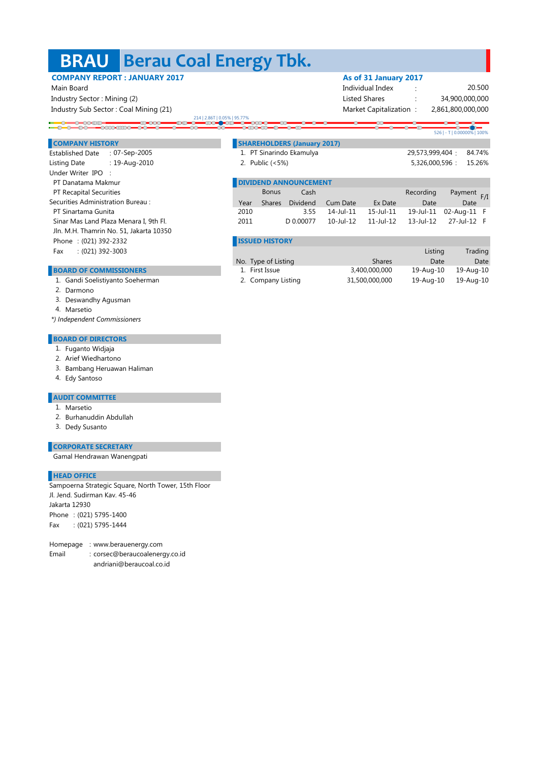## **Berau Coal Energy Tbk. BRAU**

## Main Board **Individual Index** : The Contract of Contract of Contract of Contract of Contract of Contract of Contract of Contract of Contract of Contract of Contract of Contract of Contract of Contract of Contract of Contra Industry Sector : Mining (2) listed Shares : Mining (2) listed Shares : Listed Shares : Listed Shares : Listed Shares : Listed Shares : Listed Shares : Listed Shares : Listed Shares : Listed Shares : Listed Shares : Listed Industry Sub Sector : Coal Mining (21) Market Capitalization : Market Capitalization : 2.86T | 0.05% | 95.7<br>TCC = **1.**770 -0-00:00<br>-00-00-00:00:00-00-00-00 **COMPANY HISTORY SHAREHOLDERS (January 2017)** 07-Sep-2005 Established Date : : 1. 84.74% PT Sinarindo Ekamulya 19-Aug-2010 Listing Date : : 2. Public (<5%) Under Writer IPO :

PT Recapital Securities **Cash Recording Payment Cash Recording Payment Recording Payment Payment Payment Payment Payment Payment Payment Payment Payment Payment Payment Payment Payment Payment Payment Payment Payment Payme** Securities Administration Bureau : The Shares Dividend Cum Date Ex Date Date Date Date Date Bonus Payment F/I Year 3.55 14-Jul-11 15-Jul-11 19-Jul-11 02-Aug-11 F 2010 Sinar Mas Land Plaza Menara I, 9th Fl. 2011 D 0.00077 10-Jul-12 11-Jul-12 13-Jul-12 27-Jul-12 F Shares Dividend 10-Jul-12

| <b>EISSUED HISTORY</b> |  |  |
|------------------------|--|--|
|                        |  |  |
|                        |  |  |

|                     |                | Listing   | Trading   |
|---------------------|----------------|-----------|-----------|
| No. Type of Listing | <b>Shares</b>  | Date      | Date      |
| 1. First Issue      | 3,400,000,000  | 19-Aug-10 | 19-Aug-10 |
| 2. Company Listing  | 31,500,000,000 | 19-Aug-10 | 19-Aug-10 |

**BOARD OF COMMISSIONERS** 

1. Gandi Soelistiyanto Soeherman

Jln. M.H. Thamrin No. 51, Jakarta 10350

- 2. Darmono
- 3. Deswandhy Agusman

Phone : (021) 392-2332 Fax : (021) 392-3003

PT Sinartama Gunita

4. Marsetio

 *\*) Independent Commissioners*

## **BOARD OF DIRECTORS**

- 1. Fuganto Widjaja
- 2. Arief Wiedhartono
- 3. Bambang Heruawan Haliman
- 4. Edy Santoso

## **AUDIT COMMITTEE**

- 1. Marsetio
- 2. Burhanuddin Abdullah
- 3. Dedy Susanto

| <b>CORPORATE SECRETARY</b> |  |  |
|----------------------------|--|--|
|                            |  |  |

Gamal Hendrawan Wanengpati

## **HEAD OFFICE**

Phone : (021) 5795-1400 Fax : (021) 5795-1444 Jakarta 12930 Sampoerna Strategic Square, North Tower, 15th Floor Jl. Jend. Sudirman Kav. 45-46

Homepage : www.berauenergy.com

- Email : corsec@beraucoalenergy.co.id
	- andriani@beraucoal.co.id

**COMPANY REPORT : JANUARY 2017 As of 31 January 2017** 

20.500 2,861,800,000,000 34,900,000,000

526 | - T | 0.00000% | 100%

29,573,999,404 5,326,000,596 : 15.26%

PT Danatama Makmur **DIVIDEND ANNOUNCEMENT**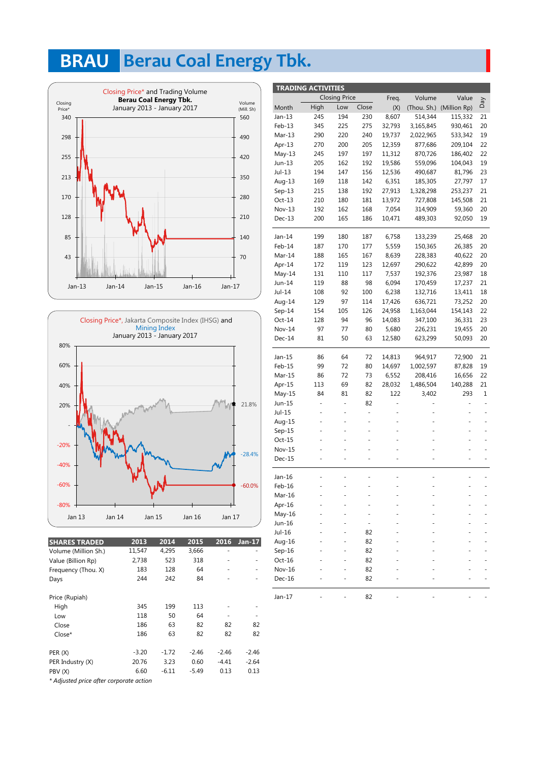# **BRAU** Berau Coal Energy Tbk.





| <b>SHARES TRADED</b>                    | 2013    | 2014    | 2015    | 2016    | $Jan-17$ |  |
|-----------------------------------------|---------|---------|---------|---------|----------|--|
| Volume (Million Sh.)                    | 11,547  | 4,295   | 3,666   | -       | ٠        |  |
| Value (Billion Rp)                      | 2,738   | 523     | 318     |         |          |  |
| Frequency (Thou. X)                     | 183     | 128     | 64      |         |          |  |
| Days                                    | 244     | 242     | 84      |         |          |  |
|                                         |         |         |         |         |          |  |
| Price (Rupiah)                          |         |         |         |         |          |  |
| High                                    | 345     | 199     | 113     |         |          |  |
| Low                                     | 118     | 50      | 64      |         |          |  |
| Close                                   | 186     | 63      | 82      | 82      | 82       |  |
| Close*                                  | 186     | 63      | 82      | 82      | 82       |  |
|                                         |         |         |         |         |          |  |
| PER(X)                                  | $-3.20$ | $-1.72$ | $-2.46$ | $-2.46$ | -2.46    |  |
| PER Industry (X)                        | 20.76   | 3.23    | 0.60    | -4.41   | -2.64    |  |
| PBV (X)                                 | 6.60    | $-6.11$ | $-5.49$ | 0.13    | 0.13     |  |
| * Adiusted price after corporate action |         |         |         |         |          |  |

|          | <b>TRADING ACTIVITIES</b> |                      |       |        |           |                          |     |
|----------|---------------------------|----------------------|-------|--------|-----------|--------------------------|-----|
|          |                           | <b>Closing Price</b> |       | Freq.  | Volume    | Value                    |     |
| Month    | High                      | Low                  | Close | (X)    |           | (Thou. Sh.) (Million Rp) | VeQ |
| Jan-13   | 245                       | 194                  | 230   | 8,607  | 514,344   | 115,332                  | 21  |
| Feb-13   | 345                       | 225                  | 275   | 32,793 | 3,165,845 | 930,461                  | 20  |
| Mar-13   | 290                       | 220                  | 240   | 19,737 | 2,022,965 | 533,342                  | 19  |
| Apr-13   | 270                       | 200                  | 205   | 12,359 | 877,686   | 209,104                  | 22  |
| $May-13$ | 245                       | 197                  | 197   | 11,312 | 870,726   | 186,402                  | 22  |
| Jun-13   | 205                       | 162                  | 192   | 19,586 | 559,096   | 104,043                  | 19  |
| Jul-13   | 194                       | 147                  | 156   | 12,536 | 490,687   | 81,796                   | 23  |
| Aug-13   | 169                       | 118                  | 142   | 6,351  | 185,305   | 27,797                   | 17  |
| $Sep-13$ | 215                       | 138                  | 192   | 27,913 | 1,328,298 | 253,237                  | 21  |
| $Oct-13$ | 210                       | 180                  | 181   | 13,972 | 727,808   | 145,508                  | 21  |
| $Nov-13$ | 192                       | 162                  | 168   | 7,054  | 314,909   | 59,360                   | 20  |
| $Dec-13$ | 200                       | 165                  | 186   | 10,471 | 489,303   | 92,050                   | 19  |
| Jan-14   | 199                       | 180                  | 187   | 6,758  | 133,239   | 25,468                   | 20  |
| Feb-14   | 187                       | 170                  | 177   | 5,559  | 150,365   | 26,385                   | 20  |
| Mar-14   | 188                       | 165                  | 167   | 8,639  | 228,383   | 40,622                   | 20  |
| Apr-14   | 172                       | 119                  | 123   | 12,697 | 290,622   | 42,899                   | 20  |
| $May-14$ | 131                       | 110                  | 117   | 7,537  | 192,376   | 23,987                   | 18  |
| Jun-14   | 119                       | 88                   | 98    | 6,094  | 170,459   | 17,237                   | 21  |
| Jul-14   | 108                       | 92                   | 100   | 6,238  | 132,716   | 13,411                   | 18  |
| Aug-14   | 129                       | 97                   | 114   | 17,426 | 636,721   | 73,252                   | 20  |
| Sep-14   | 154                       | 105                  | 126   | 24,958 | 1,163,044 | 154,143                  | 22  |
| $Oct-14$ | 128                       | 94                   | 96    | 14,083 | 347,100   | 36,331                   | 23  |
| Nov-14   | 97                        | 77                   | 80    | 5,680  | 226,231   | 19,455                   | 20  |
| Dec-14   | 81                        | 50                   | 63    | 12,580 | 623,299   | 50,093                   | 20  |
| Jan-15   | 86                        | 64                   | 72    | 14,813 | 964,917   | 72,900                   | 21  |
| Feb-15   | 99                        | 72                   | 80    | 14,697 | 1,002,597 | 87,828                   | 19  |
| Mar-15   | 86                        | 72                   | 73    | 6,552  | 208,416   | 16,656                   | 22  |
| Apr-15   | 113                       | 69                   | 82    | 28,032 | 1,486,504 | 140,288                  | 21  |
| May-15   | 84                        | 81                   | 82    | 122    | 3,402     | 293                      | 1   |
| Jun-15   |                           | -                    | 82    |        |           |                          |     |
| Jul-15   | ÷,                        | ۰                    | ÷     |        |           |                          | ÷   |
| Aug-15   |                           |                      | L,    |        |           |                          |     |
| $Sep-15$ |                           |                      |       |        |           |                          |     |
| Oct-15   |                           |                      |       |        |           |                          |     |
| Nov-15   |                           |                      |       |        |           |                          |     |
| Dec-15   |                           |                      |       |        |           |                          |     |
| Jan-16   |                           |                      |       |        |           |                          |     |
| Feb-16   |                           |                      |       |        |           |                          |     |
| Mar-16   |                           |                      |       |        |           |                          |     |
| Apr-16   |                           |                      |       |        |           |                          |     |
| May-16   |                           |                      |       |        |           |                          |     |
| Jun-16   |                           |                      |       |        |           |                          |     |
| Jul-16   |                           |                      | 82    |        |           |                          |     |
| Aug-16   |                           |                      | 82    |        |           |                          |     |
| $Sep-16$ |                           |                      | 82    |        |           |                          |     |
| $Oct-16$ |                           |                      | 82    |        |           |                          |     |
| Nov-16   |                           |                      | 82    |        |           |                          |     |
| Dec-16   |                           |                      | 82    |        |           |                          |     |
| Jan-17   |                           |                      | 82    |        |           |                          |     |